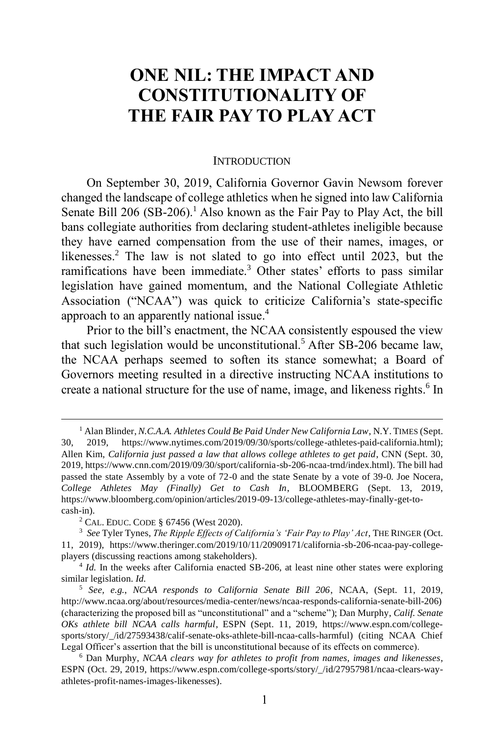# **ONE NIL: THE IMPACT AND CONSTITUTIONALITY OF THE FAIR PAY TO PLAY ACT**

#### <span id="page-0-2"></span><span id="page-0-1"></span><span id="page-0-0"></span>INTRODUCTION

On September 30, 2019, California Governor Gavin Newsom forever changed the landscape of college athletics when he signed into law California Senate Bill 206 (SB-206).<sup>1</sup> Also known as the Fair Pay to Play Act, the bill bans collegiate authorities from declaring student-athletes ineligible because they have earned compensation from the use of their names, images, or likenesses. <sup>2</sup> The law is not slated to go into effect until 2023, but the ramifications have been immediate.<sup>3</sup> Other states' efforts to pass similar legislation have gained momentum, and the National Collegiate Athletic Association ("NCAA") was quick to criticize California's state-specific approach to an apparently national issue.<sup>4</sup>

Prior to the bill's enactment, the NCAA consistently espoused the view that such legislation would be unconstitutional.<sup>5</sup> After SB-206 became law, the NCAA perhaps seemed to soften its stance somewhat; a Board of Governors meeting resulted in a directive instructing NCAA institutions to create a national structure for the use of name, image, and likeness rights. 6 In

<sup>&</sup>lt;sup>1</sup> Alan Blinder, *N.C.A.A. Athletes Could Be Paid Under New California Law*, N.Y. TIMES (Sept. 30, 2019, https://www.nytimes.com/2019/09/30/sports/college-athletes-paid-california.html); Allen Kim, *California just passed a law that allows college athletes to get paid*, CNN (Sept. 30, 2019, https://www.cnn.com/2019/09/30/sport/california-sb-206-ncaa-trnd/index.html). The bill had passed the state Assembly by a vote of 72-0 and the state Senate by a vote of 39-0. Joe Nocera, *College Athletes May (Finally) Get to Cash In*, BLOOMBERG (Sept. 13, 2019, https://www.bloomberg.com/opinion/articles/2019-09-13/college-athletes-may-finally-get-tocash-in).

<sup>2</sup> CAL. EDUC. CODE § 67456 (West 2020).

<sup>3</sup> *See* Tyler Tynes, *The Ripple Effects of California's 'Fair Pay to Play' Act*, THE RINGER (Oct. 11, 2019), https://www.theringer.com/2019/10/11/20909171/california-sb-206-ncaa-pay-collegeplayers (discussing reactions among stakeholders).

<sup>&</sup>lt;sup>4</sup> *Id.* In the weeks after California enacted SB-206, at least nine other states were exploring similar legislation. *Id.*

<sup>5</sup> *See, e.g.*, *NCAA responds to California Senate Bill 206*, NCAA, (Sept. 11, 2019, http://www.ncaa.org/about/resources/media-center/news/ncaa-responds-california-senate-bill-206) (characterizing the proposed bill as "unconstitutional" and a "scheme"); Dan Murphy, *Calif. Senate OKs athlete bill NCAA calls harmful*, ESPN (Sept. 11, 2019, https://www.espn.com/collegesports/story/\_/id/27593438/calif-senate-oks-athlete-bill-ncaa-calls-harmful) (citing NCAA Chief Legal Officer's assertion that the bill is unconstitutional because of its effects on commerce).

<sup>6</sup> Dan Murphy, *NCAA clears way for athletes to profit from names, images and likenesses*, ESPN (Oct. 29, 2019, https://www.espn.com/college-sports/story/\_/id/27957981/ncaa-clears-wayathletes-profit-names-images-likenesses).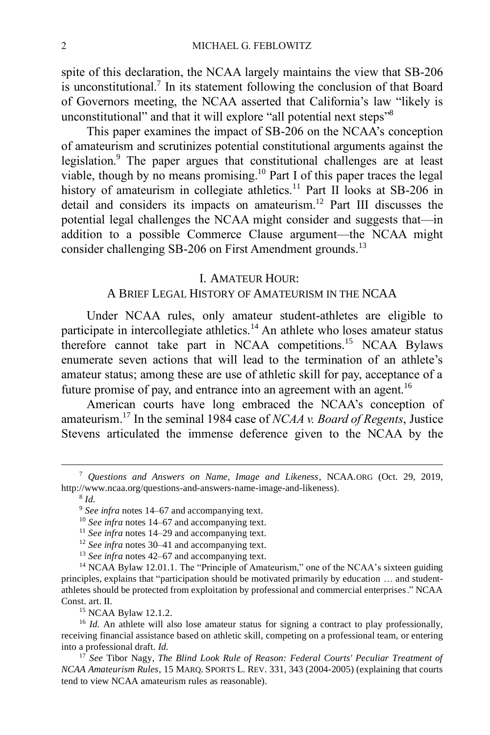spite of this declaration, the NCAA largely maintains the view that SB-206 is unconstitutional.<sup>7</sup> In its statement following the conclusion of that Board of Governors meeting, the NCAA asserted that California's law "likely is unconstitutional" and that it will explore "all potential next steps"<sup>8</sup>

This paper examines the impact of SB-206 on the NCAA's conception of amateurism and scrutinizes potential constitutional arguments against the legislation. <sup>9</sup> The paper argues that constitutional challenges are at least viable, though by no means promising. <sup>10</sup> Part I of this paper traces the legal history of amateurism in collegiate athletics.<sup>11</sup> Part II looks at SB-206 in detail and considers its impacts on amateurism. <sup>12</sup> Part III discusses the potential legal challenges the NCAA might consider and suggests that—in addition to a possible Commerce Clause argument—the NCAA might consider challenging SB-206 on First Amendment grounds.<sup>13</sup>

#### I. AMATEUR HOUR:

### A BRIEF LEGAL HISTORY OF AMATEURISM IN THE NCAA

Under NCAA rules, only amateur student-athletes are eligible to participate in intercollegiate athletics.<sup>14</sup> An athlete who loses amateur status therefore cannot take part in NCAA competitions.<sup>15</sup> NCAA Bylaws enumerate seven actions that will lead to the termination of an athlete's amateur status; among these are use of athletic skill for pay, acceptance of a future promise of pay, and entrance into an agreement with an agent.<sup>16</sup>

<span id="page-1-0"></span>American courts have long embraced the NCAA's conception of amateurism. <sup>17</sup> In the seminal 1984 case of *NCAA v. Board of Regents*, Justice Stevens articulated the immense deference given to the NCAA by the

<sup>15</sup> NCAA Bylaw 12.1.2.

<sup>16</sup> *Id.* An athlete will also lose amateur status for signing a contract to play professionally, receiving financial assistance based on athletic skill, competing on a professional team, or entering into a professional draft. *Id.*

<sup>7</sup> *Questions and Answers on Name, Image and Likeness*, NCAA.ORG (Oct. 29, 2019, http://www.ncaa.org/questions-and-answers-name-image-and-likeness).

<sup>8</sup> *Id.*

<sup>9</sup> *See infra* notes 14–67 and accompanying text.

<sup>10</sup> *See infra* notes 14–67 and accompanying text.

<sup>11</sup> *See infra* notes 14–29 and accompanying text.

<sup>12</sup> *See infra* notes 30–41 and accompanying text.

<sup>13</sup> *See infra* notes 42–67 and accompanying text.

<sup>&</sup>lt;sup>14</sup> NCAA Bylaw 12.01.1. The "Principle of Amateurism," one of the NCAA's sixteen guiding principles, explains that "participation should be motivated primarily by education … and studentathletes should be protected from exploitation by professional and commercial enterprises." NCAA Const. art. II.

<sup>17</sup> *See* Tibor Nagy, *The Blind Look Rule of Reason: Federal Courts' Peculiar Treatment of NCAA Amateurism Rules*, 15 MARQ. SPORTS L. REV. 331, 343 (2004-2005) (explaining that courts tend to view NCAA amateurism rules as reasonable).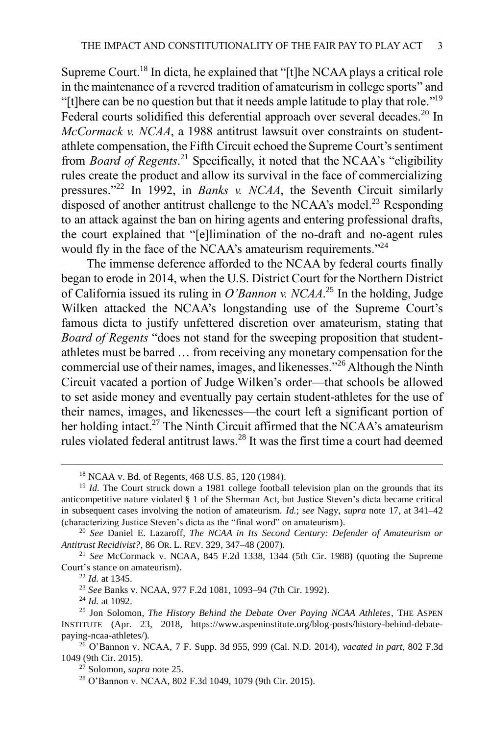Supreme Court.<sup>18</sup> In dicta, he explained that "[t]he NCAA plays a critical role in the maintenance of a revered tradition of amateurism in college sports" and "[t]here can be no question but that it needs ample latitude to play that role."<sup>19</sup> Federal courts solidified this deferential approach over several decades.<sup>20</sup> In *McCormack v. NCAA*, a 1988 antitrust lawsuit over constraints on studentathlete compensation, the Fifth Circuit echoed the Supreme Court's sentiment from *Board of Regents*. <sup>21</sup> Specifically, it noted that the NCAA's "eligibility rules create the product and allow its survival in the face of commercializing pressures."<sup>22</sup> In 1992, in *Banks v. NCAA*, the Seventh Circuit similarly  $\tilde{d}$  disposed of another antitrust challenge to the NCAA's model.<sup>23</sup> Responding to an attack against the ban on hiring agents and entering professional drafts, the court explained that "[e]limination of the no-draft and no-agent rules would fly in the face of the NCAA's amateurism requirements."<sup>24</sup>

<span id="page-2-0"></span>The immense deference afforded to the NCAA by federal courts finally began to erode in 2014, when the U.S. District Court for the Northern District of California issued its ruling in *O'Bannon v. NCAA*. <sup>25</sup> In the holding, Judge Wilken attacked the NCAA's longstanding use of the Supreme Court's famous dicta to justify unfettered discretion over amateurism, stating that *Board of Regents* "does not stand for the sweeping proposition that studentathletes must be barred … from receiving any monetary compensation for the commercial use of their names, images, and likenesses."<sup>26</sup> Although the Ninth Circuit vacated a portion of Judge Wilken's order—that schools be allowed to set aside money and eventually pay certain student-athletes for the use of their names, images, and likenesses—the court left a significant portion of her holding intact.<sup>27</sup> The Ninth Circuit affirmed that the NCAA's amateurism rules violated federal antitrust laws.<sup>28</sup> It was the first time a court had deemed

<sup>23</sup> *See* Banks v. NCAA, 977 F.2d 1081, 1093–94 (7th Cir. 1992).

<sup>24</sup> *Id.* at 1092.

<sup>27</sup> Solomon, *supra* not[e 25.](#page-2-0)

<sup>18</sup> NCAA v. Bd. of Regents, 468 U.S. 85, 120 (1984).

<sup>&</sup>lt;sup>19</sup> *Id.* The Court struck down a 1981 college football television plan on the grounds that its anticompetitive nature violated § 1 of the Sherman Act, but Justice Steven's dicta became critical in subsequent cases involving the notion of amateurism. *Id.*; s*ee* Nagy, *supra* note [17,](#page-1-0) at 341–42 (characterizing Justice Steven's dicta as the "final word" on amateurism).

<sup>20</sup> *See* Daniel E. Lazaroff, *The NCAA in Its Second Century: Defender of Amateurism or Antitrust Recidivist?*, 86 OR. L. REV. 329, 347–48 (2007).

<sup>21</sup> *See* McCormack v. NCAA, 845 F.2d 1338, 1344 (5th Cir. 1988) (quoting the Supreme Court's stance on amateurism).

<sup>22</sup> *Id.* at 1345.

<sup>25</sup> Jon Solomon, *The History Behind the Debate Over Paying NCAA Athletes*, THE ASPEN INSTITUTE (Apr. 23, 2018, https://www.aspeninstitute.org/blog-posts/history-behind-debatepaying-ncaa-athletes/).

<sup>26</sup> O'Bannon v. NCAA, 7 F. Supp. 3d 955, 999 (Cal. N.D. 2014), *vacated in part*, 802 F.3d 1049 (9th Cir. 2015).

<sup>28</sup> O'Bannon v. NCAA, 802 F.3d 1049, 1079 (9th Cir. 2015).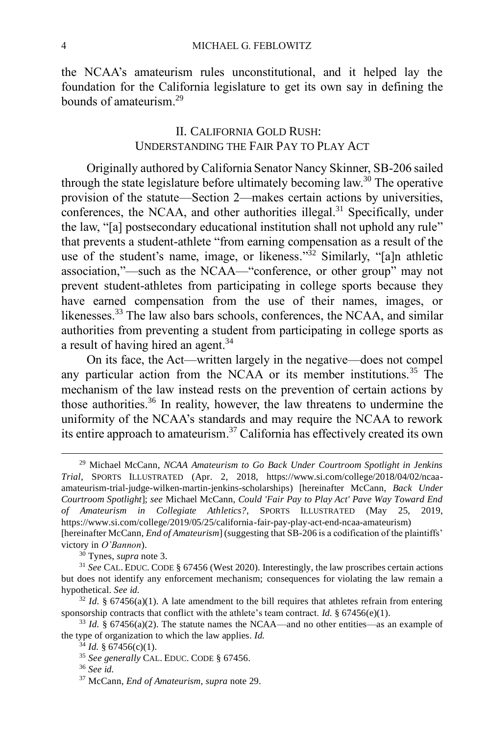the NCAA's amateurism rules unconstitutional, and it helped lay the foundation for the California legislature to get its own say in defining the bounds of amateurism. 29

## <span id="page-3-0"></span>II. CALIFORNIA GOLD RUSH: UNDERSTANDING THE FAIR PAY TO PLAY ACT

Originally authored by California Senator Nancy Skinner, SB-206 sailed through the state legislature before ultimately becoming law.<sup>30</sup> The operative provision of the statute—Section 2—makes certain actions by universities, conferences, the NCAA, and other authorities illegal.<sup>31</sup> Specifically, under the law, "[a] postsecondary educational institution shall not uphold any rule" that prevents a student-athlete "from earning compensation as a result of the use of the student's name, image, or likeness." $\frac{32}{2}$  Similarly, "[a]n athletic association,"—such as the NCAA—"conference, or other group" may not prevent student-athletes from participating in college sports because they have earned compensation from the use of their names, images, or likenesses.<sup>33</sup> The law also bars schools, conferences, the NCAA, and similar authorities from preventing a student from participating in college sports as a result of having hired an agent.<sup>34</sup>

On its face, the Act—written largely in the negative—does not compel any particular action from the NCAA or its member institutions.<sup>35</sup> The mechanism of the law instead rests on the prevention of certain actions by those authorities.<sup>36</sup> In reality, however, the law threatens to undermine the uniformity of the NCAA's standards and may require the NCAA to rework its entire approach to amateurism. <sup>37</sup> California has effectively created its own

<sup>29</sup> Michael McCann, *NCAA Amateurism to Go Back Under Courtroom Spotlight in Jenkins Trial*, SPORTS ILLUSTRATED (Apr. 2, 2018, https://www.si.com/college/2018/04/02/ncaaamateurism-trial-judge-wilken-martin-jenkins-scholarships) [hereinafter McCann, *Back Under Courtroom Spotlight*]; *see* Michael McCann, *Could 'Fair Pay to Play Act' Pave Way Toward End of Amateurism in Collegiate Athletics?*, SPORTS ILLUSTRATED (May 25, 2019, https://www.si.com/college/2019/05/25/california-fair-pay-play-act-end-ncaa-amateurism) [hereinafter McCann, *End of Amateurism*] (suggesting that SB-206 is a codification of the plaintiffs' victory in *O'Bannon*).

<sup>30</sup> Tynes, *supra* not[e 3.](#page-0-0)

<sup>31</sup> *See* CAL. EDUC. CODE § 67456 (West 2020). Interestingly, the law proscribes certain actions but does not identify any enforcement mechanism; consequences for violating the law remain a hypothetical. *See id.*

 $32$  *Id.* § 67456(a)(1). A late amendment to the bill requires that athletes refrain from entering sponsorship contracts that conflict with the athlete's team contract. *Id.*  $\S 67456(e)(1)$ .

 $33$  *Id.* § 67456(a)(2). The statute names the NCAA—and no other entities—as an example of the type of organization to which the law applies. *Id.*

 $34$  *Id.* § 67456(c)(1).

<sup>35</sup> *See generally* CAL. EDUC. CODE § 67456.

<sup>36</sup> *See id.*

<sup>37</sup> McCann, *End of Amateurism*, *supra* not[e 29.](#page-3-0)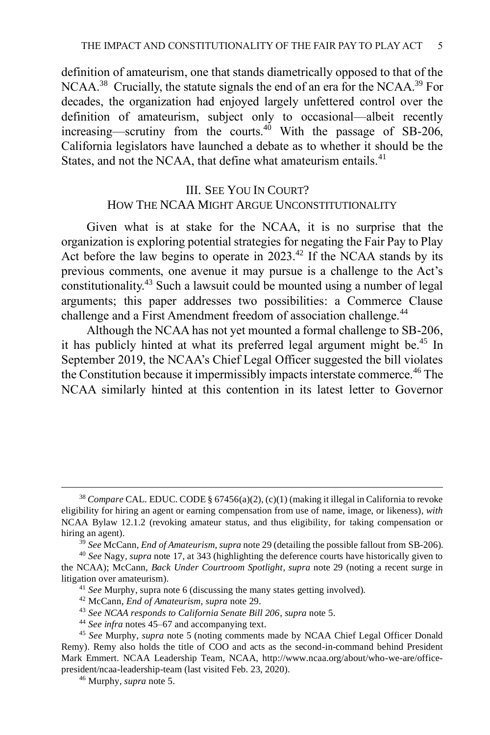definition of amateurism, one that stands diametrically opposed to that of the NCAA.<sup>38</sup> Crucially, the statute signals the end of an era for the NCAA.<sup>39</sup> For decades, the organization had enjoyed largely unfettered control over the definition of amateurism, subject only to occasional—albeit recently increasing—scrutiny from the courts. $40$  With the passage of SB-206, California legislators have launched a debate as to whether it should be the States, and not the NCAA, that define what amateurism entails.<sup>41</sup>

# <span id="page-4-0"></span>III. SEE YOU IN COURT? HOW THE NCAA MIGHT ARGUE UNCONSTITUTIONALITY

Given what is at stake for the NCAA, it is no surprise that the organization is exploring potential strategies for negating the Fair Pay to Play Act before the law begins to operate in  $2023<sup>42</sup>$  If the NCAA stands by its previous comments, one avenue it may pursue is a challenge to the Act's constitutionality.<sup>43</sup> Such a lawsuit could be mounted using a number of legal arguments; this paper addresses two possibilities: a Commerce Clause challenge and a First Amendment freedom of association challenge.<sup>44</sup>

Although the NCAA has not yet mounted a formal challenge to SB-206, it has publicly hinted at what its preferred legal argument might be.<sup>45</sup> In September 2019, the NCAA's Chief Legal Officer suggested the bill violates the Constitution because it impermissibly impacts interstate commerce.<sup>46</sup> The NCAA similarly hinted at this contention in its latest letter to Governor

- <sup>43</sup> *See NCAA responds to California Senate Bill 206*, *supra* not[e 5.](#page-0-2)
- <sup>44</sup> *See infra* note[s 45](#page-4-0)[–67](#page-6-0) and accompanying text.

<sup>38</sup> *Compare* CAL. EDUC. CODE § 67456(a)(2), (c)(1) (making it illegal in California to revoke eligibility for hiring an agent or earning compensation from use of name, image, or likeness), *with* NCAA Bylaw 12.1.2 (revoking amateur status, and thus eligibility, for taking compensation or hiring an agent).

<sup>39</sup> *See* McCann, *End of Amateurism*, *supra* not[e 29](#page-3-0) (detailing the possible fallout from SB-206).

<sup>40</sup> *See* Nagy, *supra* not[e 17,](#page-1-0) at 343 (highlighting the deference courts have historically given to the NCAA); McCann, *Back Under Courtroom Spotlight*, *supra* not[e 29](#page-3-0) (noting a recent surge in litigation over amateurism).

<sup>41</sup> *See* Murphy, supra not[e 6](#page-0-1) (discussing the many states getting involved).

<sup>42</sup> McCann, *End of Amateurism*, *supra* not[e 29.](#page-3-0)

<sup>45</sup> *See* Murphy, *supra* note [5](#page-0-2) (noting comments made by NCAA Chief Legal Officer Donald Remy). Remy also holds the title of COO and acts as the second-in-command behind President Mark Emmert. NCAA Leadership Team, NCAA, http://www.ncaa.org/about/who-we-are/officepresident/ncaa-leadership-team (last visited Feb. 23, 2020).

<sup>46</sup> Murphy, *supra* not[e 5.](#page-0-2)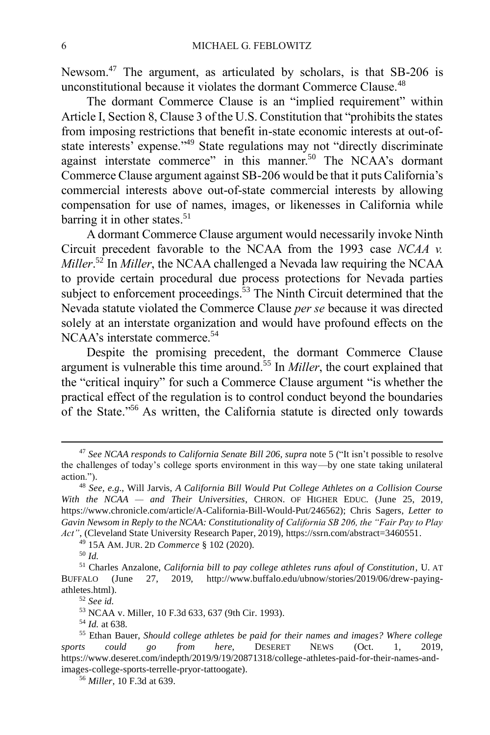Newsom.<sup>47</sup> The argument, as articulated by scholars, is that SB-206 is unconstitutional because it violates the dormant Commerce Clause.<sup>48</sup>

The dormant Commerce Clause is an "implied requirement" within Article I, Section 8, Clause 3 of the U.S. Constitution that "prohibits the states from imposing restrictions that benefit in-state economic interests at out-ofstate interests' expense."<sup>49</sup> State regulations may not "directly discriminate against interstate commerce" in this manner.<sup>50</sup> The NCAA's dormant Commerce Clause argument against SB-206 would be that it puts California's commercial interests above out-of-state commercial interests by allowing compensation for use of names, images, or likenesses in California while barring it in other states.<sup>51</sup>

A dormant Commerce Clause argument would necessarily invoke Ninth Circuit precedent favorable to the NCAA from the 1993 case *NCAA v. Miller*. <sup>52</sup> In *Miller*, the NCAA challenged a Nevada law requiring the NCAA to provide certain procedural due process protections for Nevada parties subject to enforcement proceedings.<sup>53</sup> The Ninth Circuit determined that the Nevada statute violated the Commerce Clause *per se* because it was directed solely at an interstate organization and would have profound effects on the NCAA's interstate commerce.<sup>54</sup>

Despite the promising precedent, the dormant Commerce Clause argument is vulnerable this time around.<sup>55</sup> In *Miller*, the court explained that the "critical inquiry" for such a Commerce Clause argument "is whether the practical effect of the regulation is to control conduct beyond the boundaries of the State." <sup>56</sup> As written, the California statute is directed only towards

<sup>47</sup> *See NCAA responds to California Senate Bill 206*, *supra* not[e 5](#page-0-2) ("It isn't possible to resolve the challenges of today's college sports environment in this way—by one state taking unilateral action.").

<sup>48</sup> *See, e.g.*, Will Jarvis, *A California Bill Would Put College Athletes on a Collision Course With the NCAA — and Their Universities*, CHRON. OF HIGHER EDUC. (June 25, 2019, https://www.chronicle.com/article/A-California-Bill-Would-Put/246562); Chris Sagers, *Letter to Gavin Newsom in Reply to the NCAA: Constitutionality of California SB 206, the "Fair Pay to Play Act"*, (Cleveland State University Research Paper, 2019), https://ssrn.com/abstract=3460551.

<sup>49</sup> 15A AM. JUR. 2D *Commerce* § 102 (2020).

<sup>50</sup> *Id.*

<sup>51</sup> Charles Anzalone, *California bill to pay college athletes runs afoul of Constitution*, U. AT BUFFALO (June 27, 2019, http://www.buffalo.edu/ubnow/stories/2019/06/drew-payingathletes.html).

<sup>52</sup> *See id.*

<sup>53</sup> NCAA v. Miller, 10 F.3d 633, 637 (9th Cir. 1993).

<sup>54</sup> *Id.* at 638.

<sup>55</sup> Ethan Bauer, *Should college athletes be paid for their names and images? Where college sports could go from here*, DESERET NEWS (Oct. 1, 2019, https://www.deseret.com/indepth/2019/9/19/20871318/college-athletes-paid-for-their-names-andimages-college-sports-terrelle-pryor-tattoogate).

<sup>56</sup> *Miller*, 10 F.3d at 639.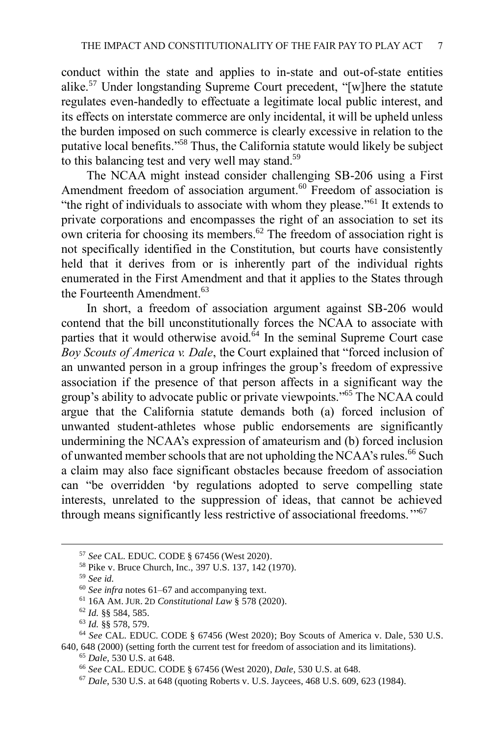conduct within the state and applies to in-state and out-of-state entities alike.<sup>57</sup> Under longstanding Supreme Court precedent, "[w]here the statute regulates even-handedly to effectuate a legitimate local public interest, and its effects on interstate commerce are only incidental, it will be upheld unless the burden imposed on such commerce is clearly excessive in relation to the putative local benefits."<sup>58</sup> Thus, the California statute would likely be subject to this balancing test and very well may stand.<sup>59</sup>

The NCAA might instead consider challenging SB-206 using a First Amendment freedom of association argument.<sup>60</sup> Freedom of association is "the right of individuals to associate with whom they please."<sup>61</sup> It extends to private corporations and encompasses the right of an association to set its own criteria for choosing its members. <sup>62</sup> The freedom of association right is not specifically identified in the Constitution, but courts have consistently held that it derives from or is inherently part of the individual rights enumerated in the First Amendment and that it applies to the States through the Fourteenth Amendment.<sup>63</sup>

In short, a freedom of association argument against SB-206 would contend that the bill unconstitutionally forces the NCAA to associate with parties that it would otherwise avoid. $64$  In the seminal Supreme Court case *Boy Scouts of America v. Dale*, the Court explained that "forced inclusion of an unwanted person in a group infringes the group's freedom of expressive association if the presence of that person affects in a significant way the group's ability to advocate public or private viewpoints." <sup>65</sup> The NCAA could argue that the California statute demands both (a) forced inclusion of unwanted student-athletes whose public endorsements are significantly undermining the NCAA's expression of amateurism and (b) forced inclusion of unwanted member schools that are not upholding the NCAA's rules.<sup>66</sup> Such a claim may also face significant obstacles because freedom of association can "be overridden 'by regulations adopted to serve compelling state interests, unrelated to the suppression of ideas, that cannot be achieved through means significantly less restrictive of associational freedoms."<sup>57</sup>

<span id="page-6-0"></span><sup>57</sup> *See* CAL. EDUC. CODE § 67456 (West 2020).

<sup>58</sup> Pike v. Bruce Church, Inc., 397 U.S. 137, 142 (1970).

<sup>59</sup> *See id.*

<sup>60</sup> *See infra* notes 61–67 and accompanying text.

<sup>61</sup> 16A AM. JUR. 2D *Constitutional Law* § 578 (2020).

<sup>62</sup> *Id.* §§ 584, 585.

<sup>63</sup> *Id.* §§ 578, 579.

<sup>64</sup> *See* CAL. EDUC. CODE § 67456 (West 2020); Boy Scouts of America v. Dale, 530 U.S. 640, 648 (2000) (setting forth the current test for freedom of association and its limitations).

<sup>65</sup> *Dale*, 530 U.S. at 648.

<sup>66</sup> *See* CAL. EDUC. CODE § 67456 (West 2020), *Dale*, 530 U.S. at 648.

<sup>67</sup> *Dale*, 530 U.S. at 648 (quoting Roberts v. U.S. Jaycees, 468 U.S. 609, 623 (1984).